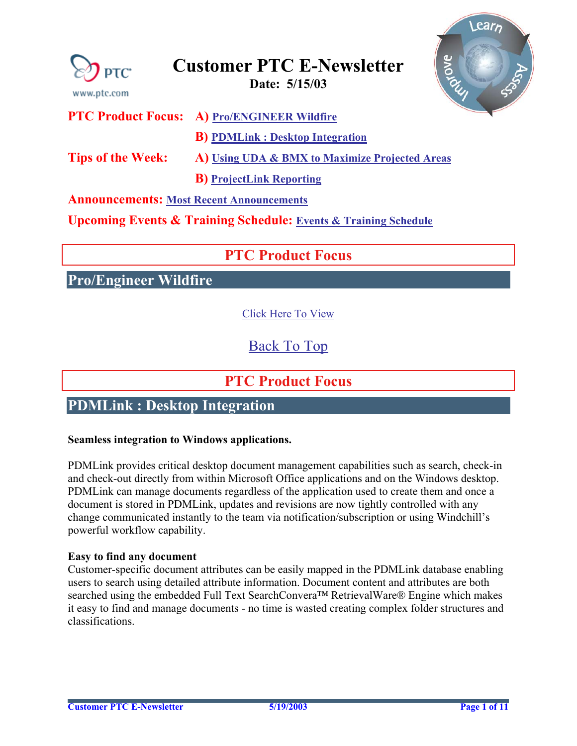<span id="page-0-0"></span>

### **Announcements: [Most Recent Announcements](#page-9-0)**

**Upcoming Events & Training Schedule: [Events & Training Schedule](#page-10-0)**

## **PTC Product Focus**

**Pro/Engineer Wildfire** 

[Click Here To View](http://www.ptc-mss.com/Tutorial/Tip_Tech/Customer PTC E-Newsletter 5-15-2003_A.pdf)

## [Back To Top](#page-0-0)

### **PTC Product Focus**

## **PDMLink : Desktop Integration**

#### **Seamless integration to Windows applications.**

PDMLink provides critical desktop document management capabilities such as search, check-in and check-out directly from within Microsoft Office applications and on the Windows desktop. PDMLink can manage documents regardless of the application used to create them and once a document is stored in PDMLink, updates and revisions are now tightly controlled with any change communicated instantly to the team via notification/subscription or using Windchill's powerful workflow capability.

#### **Easy to find any document**

Customer-specific document attributes can be easily mapped in the PDMLink database enabling users to search using detailed attribute information. Document content and attributes are both searched using the embedded Full Text SearchConvera™ RetrievalWare® Engine which makes it easy to find and manage documents - no time is wasted creating complex folder structures and classifications.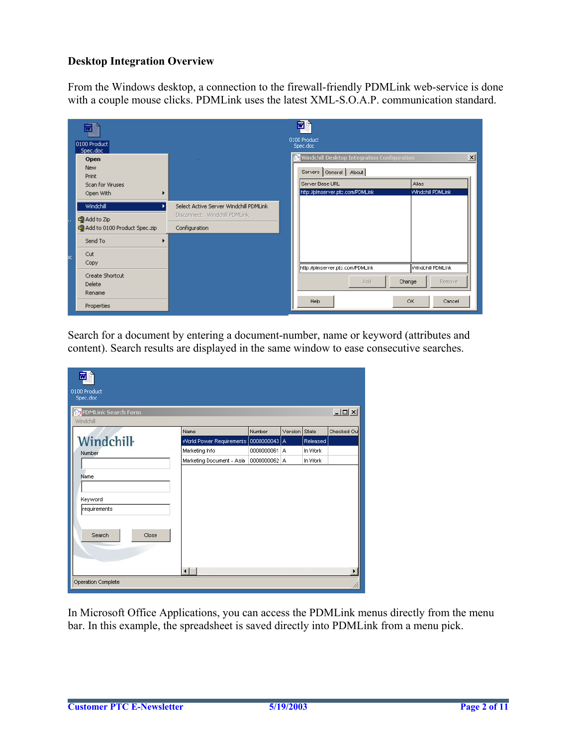### **Desktop Integration Overview**

From the Windows desktop, a connection to the firewall-friendly PDMLink web-service is done with a couple mouse clicks. PDMLink uses the latest XML-S.O.A.P. communication standard.

|     | 四<br>0100 Product<br>Spec.doc       |                                                                         | 网<br>0100 Product<br>Spec.doc                                            |                            |
|-----|-------------------------------------|-------------------------------------------------------------------------|--------------------------------------------------------------------------|----------------------------|
|     | Open<br><b>New</b><br>Print         |                                                                         | Windchill Desktop Integration Configuration<br>Servers   General   About | $\mathbf{x}$               |
|     | Scan for Viruses<br>Open With       |                                                                         | Server Base URL<br>http://pimserver.ptc.com/PDMLink                      | Alias<br>Windchill PDMLink |
|     | Windchill<br>O Add to Zip           | Select Active Server Windchill PDMLink<br>Disconnect: Windchill PDMLink |                                                                          |                            |
|     | co Add to 0100 Product Spec.zip     | Configuration                                                           |                                                                          |                            |
|     | Send To                             |                                                                         |                                                                          |                            |
| þc. | Cut<br>Copy                         |                                                                         | http://pimserver.ptc.com/PDMLink                                         | Windchill PDMLink          |
|     | Create Shortcut<br>Delete<br>Rename |                                                                         | <b>Add</b><br>Change                                                     | <b>Remove</b>              |
|     | Properties                          |                                                                         | Help                                                                     | OK<br>Cancel               |

Search for a document by entering a document-number, name or keyword (attributes and content). Search results are displayed in the same window to ease consecutive searches.

| 0100 Product<br>Spec.doc                           |                           |              |         |          |             |
|----------------------------------------------------|---------------------------|--------------|---------|----------|-------------|
| <b>Op</b> PDMLink Search Form<br>Windchill         |                           |              |         |          | $\Box$      |
|                                                    | Name                      | Number       | Version | State    | Checked Out |
| <b>Windchill</b>                                   | World Power Requirements  | 0000000043 A |         | Released |             |
| Number                                             | Marketing Info            | 0000000061 A |         | In Work  |             |
|                                                    | Marketing Document - Asia | 0000000062 A |         | In Work  |             |
| Name<br>Keyword<br>requirements<br>Search<br>Close |                           |              |         |          |             |
|                                                    | $\blacksquare$            |              |         |          |             |
| Operation Complete                                 |                           |              |         |          |             |

In Microsoft Office Applications, you can access the PDMLink menus directly from the menu bar. In this example, the spreadsheet is saved directly into PDMLink from a menu pick.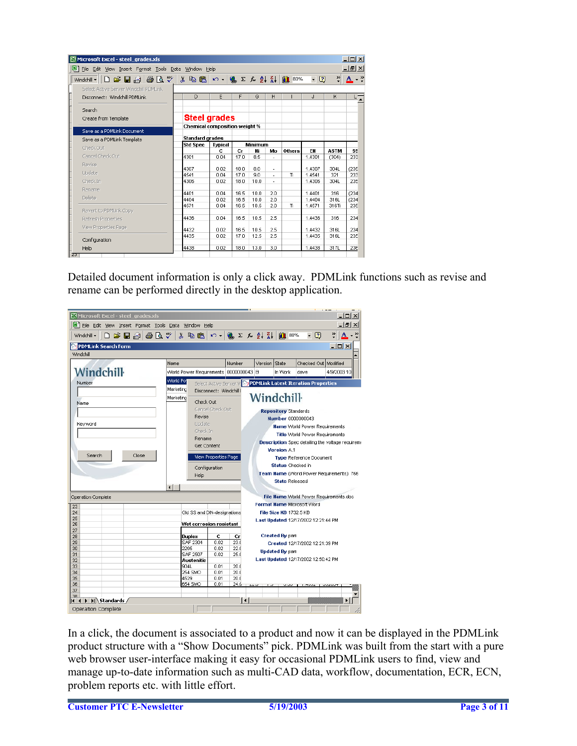| File Edit View Insert Format Tools Data Window Help |                               |                |              |                |            |                                                                                                                                                                                                                                                                                                                                                             |                  |                      | $-10 \times$ |
|-----------------------------------------------------|-------------------------------|----------------|--------------|----------------|------------|-------------------------------------------------------------------------------------------------------------------------------------------------------------------------------------------------------------------------------------------------------------------------------------------------------------------------------------------------------------|------------------|----------------------|--------------|
| Windchill •   D 2 日日日はツ                             | 人生色                           |                |              |                |            | $\mathcal{L}$ $\mathcal{L}$ $\mathcal{L}$ $\mathcal{L}$ $\mathcal{L}$ $\mathcal{L}$ $\mathcal{L}$ $\mathcal{L}$ $\mathcal{L}$ $\mathcal{L}$ $\mathcal{L}$ $\mathcal{L}$ $\mathcal{L}$ $\mathcal{L}$ $\mathcal{L}$ $\mathcal{L}$ $\mathcal{L}$ $\mathcal{L}$ $\mathcal{L}$ $\mathcal{L}$ $\mathcal{L}$ $\mathcal{L}$ $\mathcal{L}$ $\mathcal{L}$ $\mathcal{$ | - 2              | ₹                    |              |
| Select Active Server Windchill PDMLink              |                               |                |              |                |            |                                                                                                                                                                                                                                                                                                                                                             |                  |                      |              |
| Disconnect: Windchill PDMLink                       | D                             | E              | F            | G              | H          |                                                                                                                                                                                                                                                                                                                                                             | J                | ĸ                    |              |
| Search                                              |                               |                |              |                |            |                                                                                                                                                                                                                                                                                                                                                             |                  |                      |              |
| Create from Template                                | Steel grades                  |                |              |                |            |                                                                                                                                                                                                                                                                                                                                                             |                  |                      |              |
| Save as a PDMLink Document                          | Chemical composition weight % |                |              |                |            |                                                                                                                                                                                                                                                                                                                                                             |                  |                      |              |
| Save as a PDMLink Template                          | <b>Standard grades</b>        |                |              |                |            |                                                                                                                                                                                                                                                                                                                                                             |                  |                      |              |
| Check Out                                           | <b>Std Spec</b>               | <b>Typical</b> |              | <b>Minimum</b> |            |                                                                                                                                                                                                                                                                                                                                                             |                  |                      |              |
| Cancel Check Out                                    | 4301                          | c<br>0.04      | Сr<br>17.0   | Νi<br>8.5      | Mo         | <b>Others</b>                                                                                                                                                                                                                                                                                                                                               | EN<br>1.4301     | <b>ASTM</b><br>(304) | SS<br>233    |
| Revise                                              |                               |                |              |                |            |                                                                                                                                                                                                                                                                                                                                                             |                  |                      |              |
| Update                                              | 4307                          | 0.02           | 18.0         | 8.0            |            |                                                                                                                                                                                                                                                                                                                                                             | 1.4307           | 304L                 | (235<br>233  |
| Check In                                            | 4541<br>4306                  | 0.04<br>0.02   | 17.0<br>18.0 | 9.0<br>10.0    | ÷.         | Ti                                                                                                                                                                                                                                                                                                                                                          | 1.4541<br>1.4306 | 321<br>304L          | 235          |
| Rename                                              |                               |                |              |                |            |                                                                                                                                                                                                                                                                                                                                                             |                  |                      |              |
| Delete                                              | 4401                          | 0.04           | 16.5         | 10.0           | 2.0        |                                                                                                                                                                                                                                                                                                                                                             | 1.4401           | 316                  | (234)        |
|                                                     | 4404<br>4571                  | 0.02<br>0.04   | 16.5<br>16.5 | 10.0<br>10.5   | 2.0<br>2.0 | Ti                                                                                                                                                                                                                                                                                                                                                          | 1.4404<br>1.4571 | 316L<br>316Ti        | (234<br>235  |
| Revert to PDMLink Copy                              |                               |                |              |                |            |                                                                                                                                                                                                                                                                                                                                                             |                  |                      |              |
| Refresh Properties                                  | 4436                          | 0.04           | 16.5         | 10.5           | 2.5        |                                                                                                                                                                                                                                                                                                                                                             | 1.4436           | 316                  | 234          |
| <b>View Properties Page</b>                         | 4432                          | 0.02           | 16.5         | 10.5           | 2.5        |                                                                                                                                                                                                                                                                                                                                                             | 1.4432           | 316L                 | 234          |
| Configuration                                       | 4435                          | 0.02           | 17.0         | 12.5           | 2.5        |                                                                                                                                                                                                                                                                                                                                                             | 1.4435           | 316L                 | 235          |
|                                                     |                               |                |              |                |            |                                                                                                                                                                                                                                                                                                                                                             |                  |                      |              |

Detailed document information is only a click away. PDMLink functions such as revise and rename can be performed directly in the desktop application.



In a click, the document is associated to a product and now it can be displayed in the PDMLink product structure with a "Show Documents" pick. PDMLink was built from the start with a pure web browser user-interface making it easy for occasional PDMLink users to find, view and manage up-to-date information such as multi-CAD data, workflow, documentation, ECR, ECN, problem reports etc. with little effort.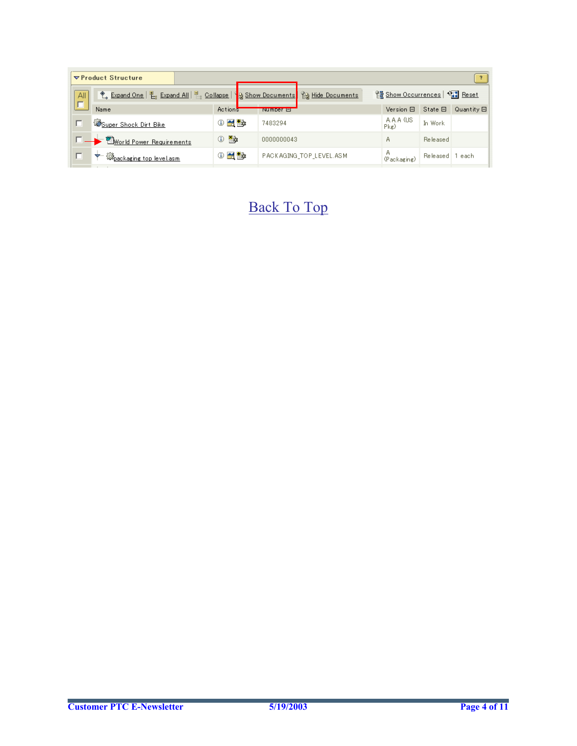|     | $\nabla$ Product Structure                                                                |                          |                  |                         |                               |              |                 |
|-----|-------------------------------------------------------------------------------------------|--------------------------|------------------|-------------------------|-------------------------------|--------------|-----------------|
| All | <sup>◆</sup> Expand One   팀 Expand All   팀 Collapse   일 Show Documents   일 Hide Documents |                          |                  |                         | 일 Show Occurrences   아기 Reset |              |                 |
| г   | Name                                                                                      | Actions                  | <b>Number of</b> |                         | Version 日                     | $State \Box$ | $Quantity \Box$ |
|     | Super Shock Dirt Bike                                                                     | $0$ $\leq$ $\leq$        | 7483294          |                         | A.A.A (US)<br>$P$ kg)         | In Work      |                 |
|     | <b>E</b> World Power Requirements                                                         | $0 - 2$                  | 0000000043       |                         | А                             | Released     |                 |
| г   | းပြန့်<br>ပြန <u>့် ပြန်မာရေး (op level.asm</u><br>$\div$                                 | $0$ $\leq$ $\frac{1}{2}$ |                  | PACKAGING_TOP_LEVEL.ASM | А<br>(Packaging)              | Released     | l each.         |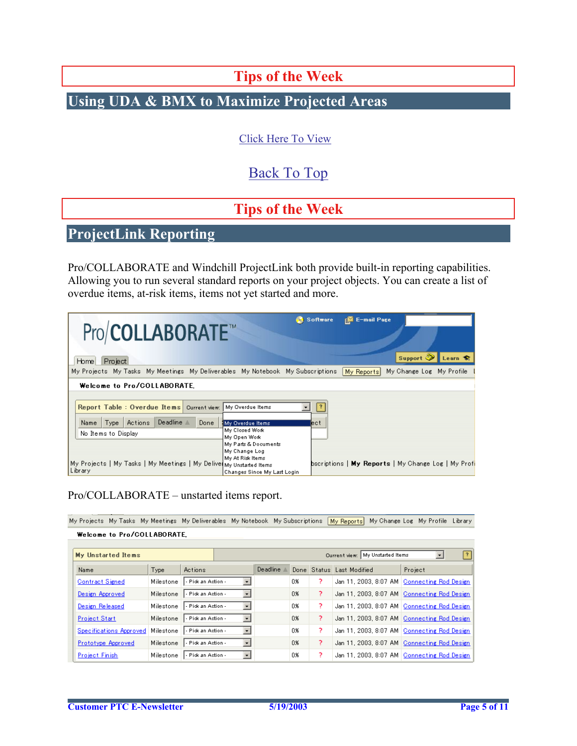# **Tips of the Week**

# <span id="page-4-0"></span>**Using UDA & BMX to Maximize Projected Areas**

### [Click Here To View](http://www.ptc-mss.com/Tutorial/Tip_Tech/Customer PTC E-Newsletter 5-15-2003_A.pdf)

## [Back To Top](#page-0-0)

# **Tips of the Week**

# **ProjectLink Reporting**

Pro/COLLABORATE and Windchill ProjectLink both provide built-in reporting capabilities. Allowing you to run several standard reports on your project objects. You can create a list of overdue items, at-risk items, items not yet started and more.

| Pro/COLLABORATE <sup>™</sup><br>Project<br>Home                                                                            |                                                                         | Software    | <b>E-mail Page</b><br>Support                       | Learn S |
|----------------------------------------------------------------------------------------------------------------------------|-------------------------------------------------------------------------|-------------|-----------------------------------------------------|---------|
| My Projects My Tasks My Meetings My Deliverables My Notebook My Subscriptions (                                            |                                                                         |             | My Change Log My Profile [<br>My Reports            |         |
| Welcome to Pro/COLLABORATE.                                                                                                |                                                                         |             |                                                     |         |
| Report Table: Overdue Items   Current view: My Overdue Items<br>Deadline $\triangleq$<br>Actions  <br>Done<br>Name<br>Type | My Overdue Items                                                        | 13<br>lect. |                                                     |         |
| No Items to Display                                                                                                        | My Closed Work<br>My Open Work<br>My Parts & Documents<br>My Change Log |             |                                                     |         |
| My Projects   My Tasks   My Meetings   My Delive My Unstarted Items<br>  Library                                           | My At Risk Items<br>Changes Since My Last Login                         |             | bscriptions   My Reports   My Change Log   My Profi |         |

### Pro/COLLABORATE – unstarted items report.

My Projects My Tasks My Meetings My Deliverables My Notebook My Subscriptions [My Reports] My Change Log My Profile Library

| My Unstarted Items      |           |                                                  |                       |    | Current view: My Unstarted Items | Ŧ                         |                                               |
|-------------------------|-----------|--------------------------------------------------|-----------------------|----|----------------------------------|---------------------------|-----------------------------------------------|
| Name                    | Type      | Actions                                          | Deadline $\triangleq$ |    |                                  | Done Status Last Modified | Project                                       |
| <b>Contract Signed</b>  | Milestone | l - Pick an Action -<br>$\star$                  |                       | 0% | γ                                |                           | Jan 11, 2003, 8:07 AM   Connecting Rod Design |
| Design Approved         | Milestone | $\overline{\phantom{a}}$<br>- Pick an Action -   |                       | 0% | 2                                |                           | Jan 11, 2003, 8:07 AM Connecting Rod Design   |
| Design Released         | Milestone | $\vert$<br>- Pick an Action                      |                       | 0% | 2                                |                           | Jan 11, 2003, 8:07 AM   Connecting Rod Design |
| <b>Project Start</b>    | Milestone | $\blacksquare$<br>l - Pick an Action -           |                       | 0% | P                                |                           | Jan 11, 2003, 8:07 AM Connecting Rod Design   |
| Specifications Approved | Milestone | $\overline{\phantom{a}}$<br>l - Pick an Action - |                       | 0% | P                                |                           | Jan 11, 2003, 8:07 AM   Connecting Rod Design |
| Prototype Approved      | Milestone | $\overline{ }$<br>- Pick an Action -             |                       | 0% | P                                |                           | Jan 11, 2003, 8:07 AM Connecting Rod Design   |
| <b>Project Finish</b>   | Milestone | - Pick an Action<br>$\cdot$                      |                       | 0% | 2                                |                           | Jan 11, 2003, 8:07 AM   Connecting Rod Design |

Welcome to Pro/COLLABORATE,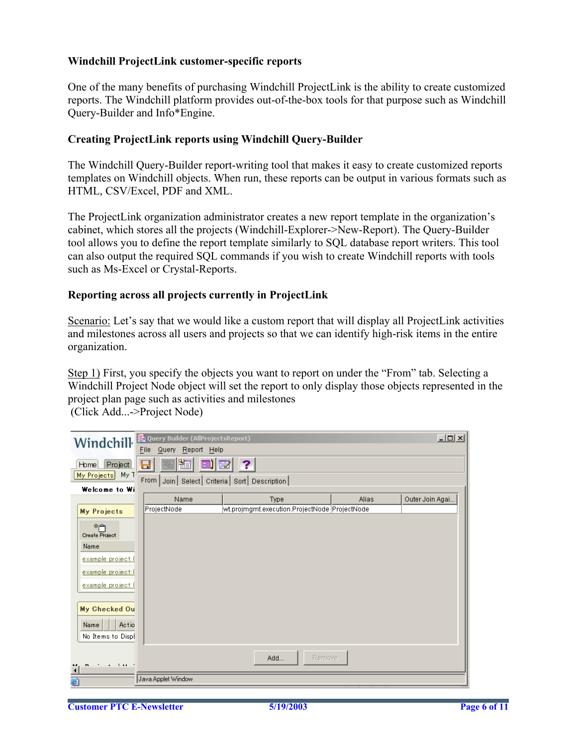#### **Windchill ProjectLink customer-specific reports**

One of the many benefits of purchasing Windchill ProjectLink is the ability to create customized reports. The Windchill platform provides out-of-the-box tools for that purpose such as Windchill Query-Builder and Info\*Engine.

### **Creating ProjectLink reports using Windchill Query-Builder**

The Windchill Query-Builder report-writing tool that makes it easy to create customized reports templates on Windchill objects. When run, these reports can be output in various formats such as HTML, CSV/Excel, PDF and XML.

The ProjectLink organization administrator creates a new report template in the organization's cabinet, which stores all the projects (Windchill-Explorer->New-Report). The Query-Builder tool allows you to define the report template similarly to SQL database report writers. This tool can also output the required SQL commands if you wish to create Windchill reports with tools such as Ms-Excel or Crystal-Reports.

#### **Reporting across all projects currently in ProjectLink**

Scenario: Let's say that we would like a custom report that will display all ProjectLink activities and milestones across all users and projects so that we can identify high-risk items in the entire organization.

Step 1) First, you specify the objects you want to report on under the "From" tab. Selecting a Windchill Project Node object will set the report to only display those objects represented in the project plan page such as activities and milestones (Click Add...->Project Node)

| Windchill                              | <b>&amp; Query Builder (AllProjectsReport)</b>       |                                                       |       | $\Box$          |
|----------------------------------------|------------------------------------------------------|-------------------------------------------------------|-------|-----------------|
|                                        | File<br>Query<br>Report Help                         |                                                       |       |                 |
| Project<br>Home                        | ₩<br>團<br>Н                                          | 國<br>2                                                |       |                 |
| My T<br>My Projects                    | From   Join   Select   Criteria   Sort   Description |                                                       |       |                 |
| Welcome to Wi                          |                                                      |                                                       |       |                 |
|                                        | Name<br>ProjectNode                                  | Type<br>wt.projmgmt.execution.ProjectNode ProjectNode | Alias | Outer Join Agai |
| <b>My Projects</b>                     |                                                      |                                                       |       |                 |
| ⋇⋒<br>Create Project                   |                                                      |                                                       |       |                 |
| Name                                   |                                                      |                                                       |       |                 |
| example project (                      |                                                      |                                                       |       |                 |
| example project (                      |                                                      |                                                       |       |                 |
| example project (                      |                                                      |                                                       |       |                 |
|                                        |                                                      |                                                       |       |                 |
| My Checked Ou                          |                                                      |                                                       |       |                 |
| Actio<br>Name                          |                                                      |                                                       |       |                 |
| No Items to Displ                      |                                                      |                                                       |       |                 |
|                                        |                                                      |                                                       |       |                 |
|                                        |                                                      | Remove<br>Add                                         |       |                 |
| man and a state of<br>$\blacktriangle$ |                                                      |                                                       |       |                 |
| 蓟                                      | Java Applet Window                                   |                                                       |       |                 |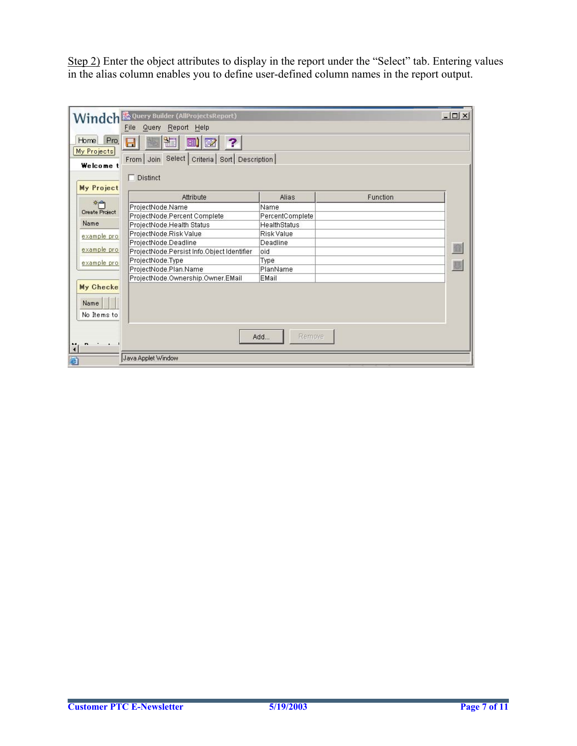Step 2) Enter the object attributes to display in the report under the "Select" tab. Entering values in the alias column enables you to define user-defined column names in the report output.

|                             | Windch & Query Builder (AllProjectsReport)                                      |                     |          | $ \Box$ $\times$ |
|-----------------------------|---------------------------------------------------------------------------------|---------------------|----------|------------------|
|                             | Report Help<br>File<br>Query                                                    |                     |          |                  |
| Pro.<br>Home<br>My Projects | 2<br>EI)<br>図<br>H<br>Select<br>Criteria   Sort   Description  <br>From<br>Join |                     |          |                  |
| Welcome t                   |                                                                                 |                     |          |                  |
|                             | $\Box$ Distinct                                                                 |                     |          |                  |
| My Project                  |                                                                                 |                     |          |                  |
|                             | Attribute                                                                       | <b>Alias</b>        | Function |                  |
| *শ                          | ProjectNode.Name                                                                | Name                |          |                  |
| Create Project              | ProjectNode.Percent Complete                                                    | PercentComplete     |          |                  |
| Name                        | ProjectNode.Health Status                                                       | <b>HealthStatus</b> |          |                  |
| example pro                 | ProjectNode.Risk Value                                                          | <b>Risk Value</b>   |          |                  |
|                             | ProjectNode.Deadline                                                            | Deadline            |          |                  |
| example pro                 | ProjectNode.Persist Info.Object Identifier                                      | bio                 |          |                  |
| example pro                 | ProjectNode.Type                                                                | Type                |          |                  |
|                             | ProjectNode.Plan.Name                                                           | PlanName            |          |                  |
|                             | ProjectNode.Ownership.Owner.EMail                                               | EMail               |          |                  |
| My Checke                   |                                                                                 |                     |          |                  |
|                             |                                                                                 |                     |          |                  |
| Name                        |                                                                                 |                     |          |                  |
| No Items to                 |                                                                                 |                     |          |                  |
|                             |                                                                                 |                     |          |                  |
|                             |                                                                                 | Remove<br>Add       |          |                  |
| $n \rightarrow 1$           |                                                                                 |                     |          |                  |
| $\left  \right $            |                                                                                 |                     |          |                  |
| 画                           | Java Applet Window                                                              |                     |          |                  |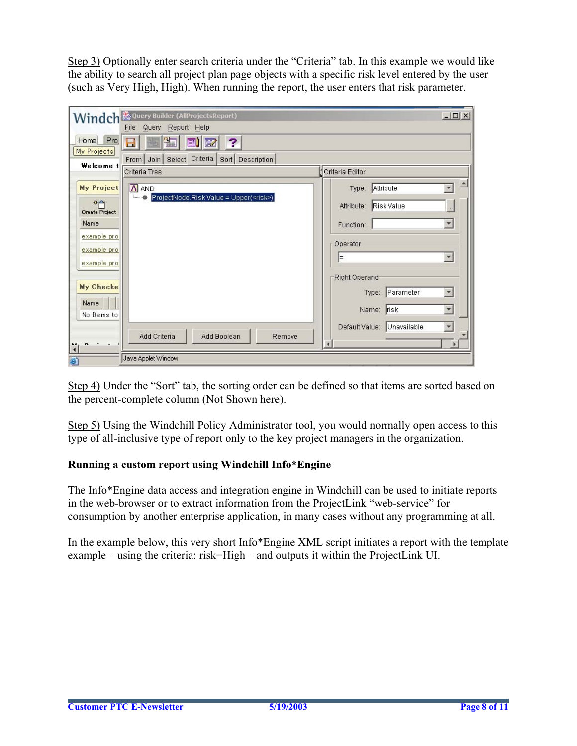Step 3) Optionally enter search criteria under the "Criteria" tab. In this example we would like the ability to search all project plan page objects with a specific risk level entered by the user (such as Very High, High). When running the report, the user enters that risk parameter.

|                                                                                                                                                                              | Windch & Query Builder (AllProjectsReport)                                                             | $ \Box$ $\times$                                                                                                                                                                                                                                                               |
|------------------------------------------------------------------------------------------------------------------------------------------------------------------------------|--------------------------------------------------------------------------------------------------------|--------------------------------------------------------------------------------------------------------------------------------------------------------------------------------------------------------------------------------------------------------------------------------|
| Pro.<br>Home<br>My Projects<br>Welcome t                                                                                                                                     | Query Report Help<br>File<br>EI)<br>7<br>國<br>H<br>Criteria   Sort   Description  <br>From Join Select |                                                                                                                                                                                                                                                                                |
|                                                                                                                                                                              | Criteria Tree                                                                                          | Criteria Editor                                                                                                                                                                                                                                                                |
| My Project<br>$*$ n<br><b>Create Project</b><br>Name<br>example pro<br>example pro<br>example pro<br>My Checke<br>Name<br>No Items to<br>- -<br>$\mathbf{r}$<br>$\cdot$<br>简 | A AND<br>ProjectNode.RiskValue = Upper( <risk>)<br/>Add Criteria<br/>Add Boolean<br/>Remove</risk>     | A<br>Type: Attribute<br>Attribute: Risk Value<br>$\cdots$<br>$\blacktriangledown$<br>Function:<br>Operator<br>$\blacktriangledown$<br>⊫<br>Right Operand<br>Type: Parameter<br>$\overline{\phantom{a}}$<br>$\overline{\mathbf{v}}$<br>Name: risk<br>Default Value: Unavailable |
| 画                                                                                                                                                                            | Java Applet Window                                                                                     |                                                                                                                                                                                                                                                                                |

Step 4) Under the "Sort" tab, the sorting order can be defined so that items are sorted based on the percent-complete column (Not Shown here).

Step 5) Using the Windchill Policy Administrator tool, you would normally open access to this type of all-inclusive type of report only to the key project managers in the organization.

### **Running a custom report using Windchill Info\*Engine**

The Info\*Engine data access and integration engine in Windchill can be used to initiate reports in the web-browser or to extract information from the ProjectLink "web-service" for consumption by another enterprise application, in many cases without any programming at all.

In the example below, this very short Info\*Engine XML script initiates a report with the template example – using the criteria: risk=High – and outputs it within the ProjectLink UI.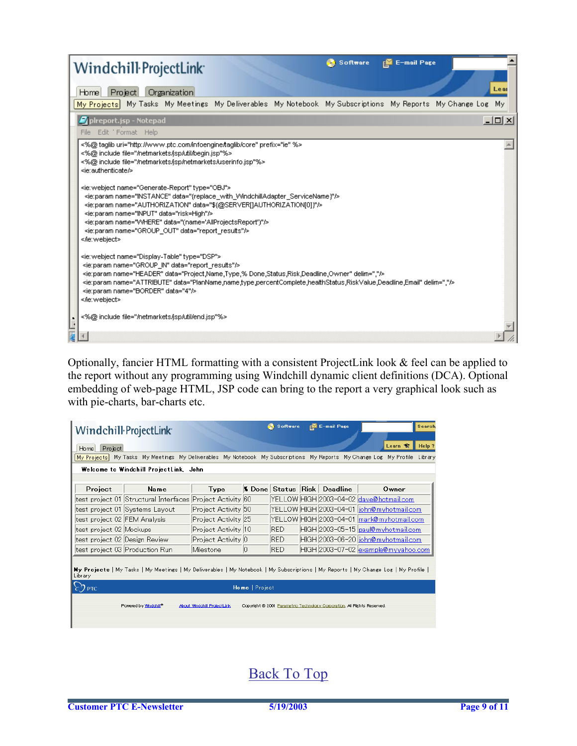| <b>E-mail Page</b><br><b>Software</b><br>Windchill ProjectLink                                                                                                                                                                                                                                                                                                                                                                                                                                                                      |  |  |  |  |  |  |
|-------------------------------------------------------------------------------------------------------------------------------------------------------------------------------------------------------------------------------------------------------------------------------------------------------------------------------------------------------------------------------------------------------------------------------------------------------------------------------------------------------------------------------------|--|--|--|--|--|--|
| Lear<br>Project<br>Organization<br>Home]                                                                                                                                                                                                                                                                                                                                                                                                                                                                                            |  |  |  |  |  |  |
| My Tasks My Meetings My Deliverables My Notebook My Subscriptions My Reports My Change Log My<br>My Projects                                                                                                                                                                                                                                                                                                                                                                                                                        |  |  |  |  |  |  |
| $ \Box$ $\times$<br>plreport.jsp - Notepad                                                                                                                                                                                                                                                                                                                                                                                                                                                                                          |  |  |  |  |  |  |
| File Edit Format Help                                                                                                                                                                                                                                                                                                                                                                                                                                                                                                               |  |  |  |  |  |  |
| <%@ taqlib uri="http://www.ptc.com/infoengine/taqlib/core" prefix="ie" %><br><%@ include file="/netmarkets/jsp/util/begin.jsp"%><br><%@ include file="/netmarkets/jsp/netmarkets/userinfo.jsp"%><br><ie:authenticate></ie:authenticate>                                                                                                                                                                                                                                                                                             |  |  |  |  |  |  |
| <ie:webject name="Generate-Report" type="OBJ"><br/><ie:param.name="instance" data="{replace_with_WindchillAdapter_ServiceName}"></ie:param.name="instance"><br/><ie:param.name="authorization" data="\${@SERVER[]AUTHORIZATION[0]}"></ie:param.name="authorization"><br/><ie:param.name="input" data="risk=High"></ie:param.name="input"><br/><ie:param.name="where" data="(name='AllProjectsReport')"></ie:param.name="where"><br/><ie:param.name="group_out" data="report_results"></ie:param.name="group_out"><br/></ie:webject> |  |  |  |  |  |  |
| <ie:webject name="Display-Table" type="DSP"><br/><ie:param.name="group_in" data="report_results"></ie:param.name="group_in"><br/>&gt;&gt;<br/><ie:param data="PlanName,name,type,percentComplete,healthStatus,RiskValue,Deadline,Email" delim="," name="ATTRIBUTE"></ie:param><br/><ie:param data="4" name="BORDER"></ie:param><br/></ie:webject>                                                                                                                                                                                   |  |  |  |  |  |  |
| <%@ include file="/netmarkets/jsp/util/end.jsp"%>                                                                                                                                                                                                                                                                                                                                                                                                                                                                                   |  |  |  |  |  |  |
|                                                                                                                                                                                                                                                                                                                                                                                                                                                                                                                                     |  |  |  |  |  |  |

Optionally, fancier HTML formatting with a consistent ProjectLink look & feel can be applied to the report without any programming using Windchill dynamic client definitions (DCA). Optional embedding of web-page HTML, JSP code can bring to the report a very graphical look such as with pie-charts, bar-charts etc.

|                                                                                                                                                | Windchill ProjectLink                                     |                     |             | <b>Software</b> |  | <b>E-mail Page</b>                  | Search                                                                                                                    |
|------------------------------------------------------------------------------------------------------------------------------------------------|-----------------------------------------------------------|---------------------|-------------|-----------------|--|-------------------------------------|---------------------------------------------------------------------------------------------------------------------------|
| Learn <b>S</b> T<br>Help ?<br>Project<br>Homel                                                                                                 |                                                           |                     |             |                 |  |                                     |                                                                                                                           |
|                                                                                                                                                |                                                           |                     |             |                 |  |                                     | My Projects My Tasks My Meetings My Deliverables My Notebook My Subscriptions My Reports My Change Log My Profile Library |
|                                                                                                                                                | Welcome to Windchill ProjectLink, John                    |                     |             |                 |  |                                     |                                                                                                                           |
|                                                                                                                                                |                                                           |                     |             |                 |  |                                     |                                                                                                                           |
| Project                                                                                                                                        | Name                                                      | Type                |             |                 |  | <b>1% Done Status Risk Deadline</b> | Owner                                                                                                                     |
|                                                                                                                                                | test project 01 Structural Interfaces Project Activity 60 |                     |             |                 |  |                                     | YELLOW HIGH 2003-04-02 dave@hotmail.com                                                                                   |
|                                                                                                                                                | test project 01 Systems Layout                            | Project Activity 50 |             |                 |  |                                     | YELLOW HIGH 2003-04-01 ljohn@myhotmail.com                                                                                |
| test project 02 FEM Analysis                                                                                                                   |                                                           | Project Activity 25 |             |                 |  |                                     | YELLOW HIGH 2003-04-01 mark@myhotmail.com                                                                                 |
| test project 02 Mockups                                                                                                                        |                                                           | Project Activity 10 |             | <b>RED</b>      |  |                                     | HIGH 2003-05-15 paul@myhotmail.com                                                                                        |
| test project 02 Design Review                                                                                                                  |                                                           | Project Activity 0  |             | <b>RED</b>      |  |                                     | HIGH 2003-06-20 john@myhotmail.com                                                                                        |
|                                                                                                                                                | test project 03 Production Run                            | Milestone           | $ 0\rangle$ | <b>RED</b>      |  |                                     | HIGH 2003-07-02 example@myyahoo.com                                                                                       |
| My Projects   My Tasks   My Meetings   My Deliverables   My Notebook   My Subscriptions   My Reports   My Change Log   My Profile  <br>Library |                                                           |                     |             |                 |  |                                     |                                                                                                                           |
| Home   Project<br>$\epsilon$ ') ptc.                                                                                                           |                                                           |                     |             |                 |  |                                     |                                                                                                                           |
| Powered by Windchill <sup>®</sup><br>About Windchill ProjectLink<br>Copyright © 2001 Parametric Technology Corporation, All Rights Reserved.   |                                                           |                     |             |                 |  |                                     |                                                                                                                           |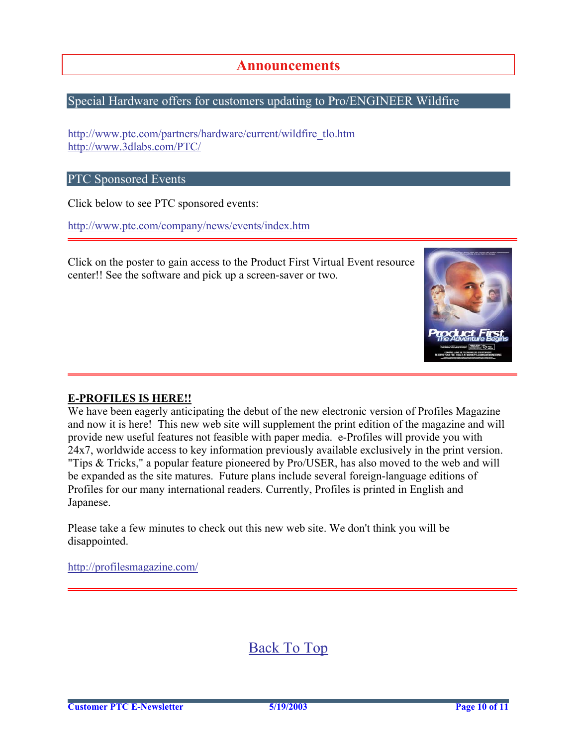## **Announcements**

### <span id="page-9-0"></span>Special Hardware offers for customers updating to Pro/ENGINEER Wildfire

[http://www.ptc.com/partners/hardware/current/wildfire\\_tlo.htm](http://www.ptc.com/partners/hardware/current/wildfire_tlo.htm)  <http://www.3dlabs.com/PTC/>

#### PTC Sponsored Events

Click below to see PTC sponsored events:

<http://www.ptc.com/company/news/events/index.htm>

Click on the poster to gain access to the Product First Virtual Event resource center!! See the software and pick up a screen-saver or two.



#### **E-PROFILES IS HERE!!**

We have been eagerly anticipating the debut of the new electronic version of Profiles Magazine and now it is here! This new web site will supplement the print edition of the magazine and will provide new useful features not feasible with paper media. e-Profiles will provide you with 24x7, worldwide access to key information previously available exclusively in the print version. "Tips & Tricks," a popular feature pioneered by Pro/USER, has also moved to the web and will be expanded as the site matures. Future plans include several foreign-language editions of Profiles for our many international readers. Currently, Profiles is printed in English and Japanese.

Please take a few minutes to check out this new web site. We don't think you will be disappointed.

<http://profilesmagazine.com/>